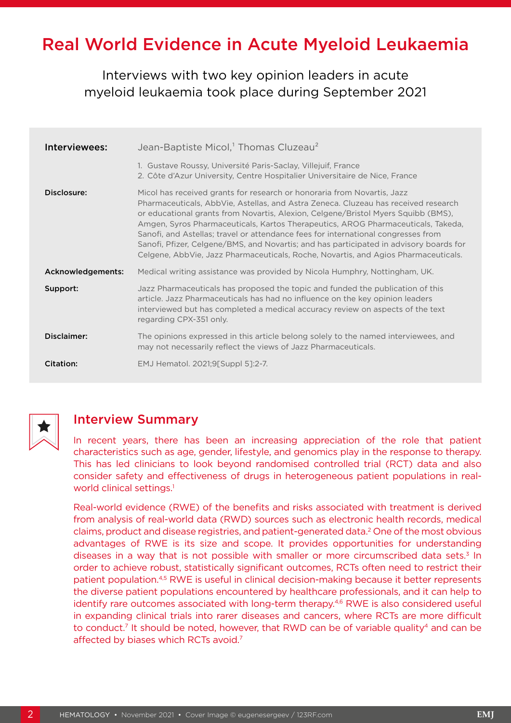# Real World Evidence in Acute Myeloid Leukaemia

Interviews with two key opinion leaders in acute myeloid leukaemia took place during September 2021

| Interviewees:     | Jean-Baptiste Micol, <sup>1</sup> Thomas Cluzeau <sup>2</sup>                                                                                                                                                                                                                                                                                                                                                                                                                                                                                                                                               |
|-------------------|-------------------------------------------------------------------------------------------------------------------------------------------------------------------------------------------------------------------------------------------------------------------------------------------------------------------------------------------------------------------------------------------------------------------------------------------------------------------------------------------------------------------------------------------------------------------------------------------------------------|
|                   | 1. Gustave Roussy, Université Paris-Saclay, Villejuif, France<br>2. Côte d'Azur University, Centre Hospitalier Universitaire de Nice, France                                                                                                                                                                                                                                                                                                                                                                                                                                                                |
| Disclosure:       | Micol has received grants for research or honoraria from Novartis, Jazz<br>Pharmaceuticals, AbbVie, Astellas, and Astra Zeneca. Cluzeau has received research<br>or educational grants from Novartis, Alexion, Celgene/Bristol Myers Squibb (BMS),<br>Amgen, Syros Pharmaceuticals, Kartos Therapeutics, AROG Pharmaceuticals, Takeda,<br>Sanofi, and Astellas; travel or attendance fees for international congresses from<br>Sanofi, Pfizer, Celgene/BMS, and Novartis; and has participated in advisory boards for<br>Celgene, AbbVie, Jazz Pharmaceuticals, Roche, Novartis, and Agios Pharmaceuticals. |
| Acknowledgements: | Medical writing assistance was provided by Nicola Humphry, Nottingham, UK.                                                                                                                                                                                                                                                                                                                                                                                                                                                                                                                                  |
| Support:          | Jazz Pharmaceuticals has proposed the topic and funded the publication of this<br>article. Jazz Pharmaceuticals has had no influence on the key opinion leaders<br>interviewed but has completed a medical accuracy review on aspects of the text<br>regarding CPX-351 only.                                                                                                                                                                                                                                                                                                                                |
| Disclaimer:       | The opinions expressed in this article belong solely to the named interviewees, and<br>may not necessarily reflect the views of Jazz Pharmaceuticals.                                                                                                                                                                                                                                                                                                                                                                                                                                                       |
| Citation:         | EMJ Hematol. 2021;9[Suppl 5]:2-7.                                                                                                                                                                                                                                                                                                                                                                                                                                                                                                                                                                           |



# Interview Summary

In recent years, there has been an increasing appreciation of the role that patient characteristics such as age, gender, lifestyle, and genomics play in the response to therapy. This has led clinicians to look beyond randomised controlled trial (RCT) data and also consider safety and effectiveness of drugs in heterogeneous patient populations in realworld clinical settings.<sup>1</sup>

Real-world evidence (RWE) of the benefits and risks associated with treatment is derived from analysis of real-world data (RWD) sources such as electronic health records, medical claims, product and disease registries, and patient-generated data.2 One of the most obvious advantages of RWE is its size and scope. It provides opportunities for understanding diseases in a way that is not possible with smaller or more circumscribed data sets.<sup>3</sup> In order to achieve robust, statistically significant outcomes, RCTs often need to restrict their patient population.4,5 RWE is useful in clinical decision-making because it better represents the diverse patient populations encountered by healthcare professionals, and it can help to identify rare outcomes associated with long-term therapy.<sup>4,6</sup> RWE is also considered useful in expanding clinical trials into rarer diseases and cancers, where RCTs are more difficult to conduct.<sup>7</sup> It should be noted, however, that RWD can be of variable quality<sup>4</sup> and can be affected by biases which RCTs avoid.<sup>7</sup>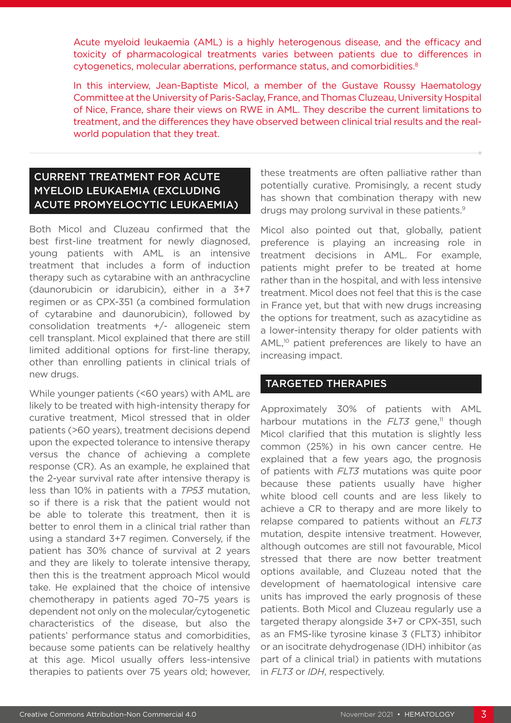Acute myeloid leukaemia (AML) is a highly heterogenous disease, and the efficacy and toxicity of pharmacological treatments varies between patients due to differences in cytogenetics, molecular aberrations, performance status, and comorbidities.<sup>8</sup>

In this interview, Jean-Baptiste Micol, a member of the Gustave Roussy Haematology Committee at the University of Paris-Saclay, France, and Thomas Cluzeau, University Hospital of Nice, France, share their views on RWE in AML. They describe the current limitations to treatment, and the differences they have observed between clinical trial results and the realworld population that they treat.

# CURRENT TREATMENT FOR ACUTE MYELOID LEUKAEMIA (EXCLUDING ACUTE PROMYELOCYTIC LEUKAEMIA)

Both Micol and Cluzeau confirmed that the best first-line treatment for newly diagnosed, young patients with AML is an intensive treatment that includes a form of induction therapy such as cytarabine with an anthracycline (daunorubicin or idarubicin), either in a 3+7 regimen or as CPX-351 (a combined formulation of cytarabine and daunorubicin), followed by consolidation treatments +/- allogeneic stem cell transplant. Micol explained that there are still limited additional options for first-line therapy, other than enrolling patients in clinical trials of new drugs.

While younger patients (<60 years) with AML are likely to be treated with high-intensity therapy for curative treatment, Micol stressed that in older patients (>60 years), treatment decisions depend upon the expected tolerance to intensive therapy versus the chance of achieving a complete response (CR). As an example, he explained that the 2-year survival rate after intensive therapy is less than 10% in patients with a *TP53* mutation, so if there is a risk that the patient would not be able to tolerate this treatment, then it is better to enrol them in a clinical trial rather than using a standard 3+7 regimen. Conversely, if the patient has 30% chance of survival at 2 years and they are likely to tolerate intensive therapy, then this is the treatment approach Micol would take. He explained that the choice of intensive chemotherapy in patients aged 70–75 years is dependent not only on the molecular/cytogenetic characteristics of the disease, but also the patients' performance status and comorbidities, because some patients can be relatively healthy at this age. Micol usually offers less-intensive therapies to patients over 75 years old; however,

these treatments are often palliative rather than potentially curative. Promisingly, a recent study has shown that combination therapy with new drugs may prolong survival in these patients.<sup>9</sup>

Micol also pointed out that, globally, patient preference is playing an increasing role in treatment decisions in AML. For example, patients might prefer to be treated at home rather than in the hospital, and with less intensive treatment. Micol does not feel that this is the case in France yet, but that with new drugs increasing the options for treatment, such as azacytidine as a lower-intensity therapy for older patients with AML,<sup>10</sup> patient preferences are likely to have an increasing impact.

#### TARGETED THERAPIES

Approximately 30% of patients with AML harbour mutations in the *FLT3* gene,<sup>11</sup> though Micol clarified that this mutation is slightly less common (25%) in his own cancer centre. He explained that a few years ago, the prognosis of patients with *FLT3* mutations was quite poor because these patients usually have higher white blood cell counts and are less likely to achieve a CR to therapy and are more likely to relapse compared to patients without an *FLT3* mutation, despite intensive treatment. However, although outcomes are still not favourable, Micol stressed that there are now better treatment options available, and Cluzeau noted that the development of haematological intensive care units has improved the early prognosis of these patients. Both Micol and Cluzeau regularly use a targeted therapy alongside 3+7 or CPX-351, such as an FMS-like tyrosine kinase 3 (FLT3) inhibitor or an isocitrate dehydrogenase (IDH) inhibitor (as part of a clinical trial) in patients with mutations in *FLT3* or *IDH*, respectively.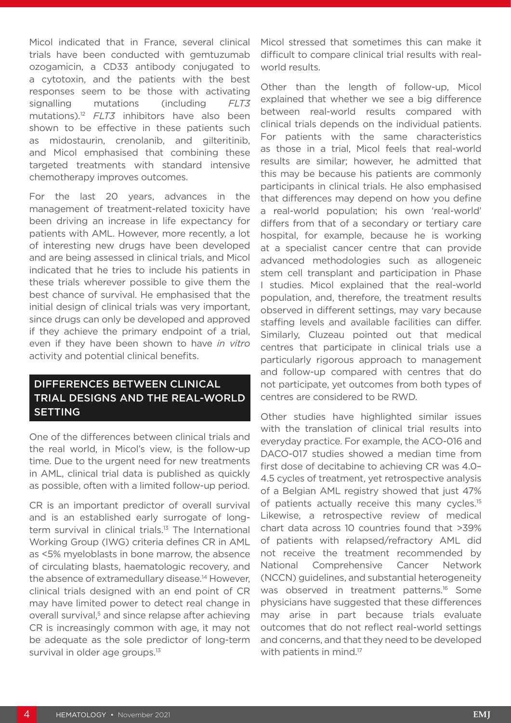Micol indicated that in France, several clinical trials have been conducted with gemtuzumab ozogamicin, a CD33 antibody conjugated to a cytotoxin, and the patients with the best responses seem to be those with activating signalling mutations (including *FLT3* mutations).12 *FLT3* inhibitors have also been shown to be effective in these patients such as midostaurin, crenolanib, and gilteritinib, and Micol emphasised that combining these targeted treatments with standard intensive chemotherapy improves outcomes.

For the last 20 years, advances in the management of treatment-related toxicity have been driving an increase in life expectancy for patients with AML. However, more recently, a lot of interesting new drugs have been developed and are being assessed in clinical trials, and Micol indicated that he tries to include his patients in these trials wherever possible to give them the best chance of survival. He emphasised that the initial design of clinical trials was very important, since drugs can only be developed and approved if they achieve the primary endpoint of a trial, even if they have been shown to have *in vitro* activity and potential clinical benefits.

### DIFFERENCES BETWEEN CLINICAL TRIAL DESIGNS AND THE REAL-WORLD SETTING

One of the differences between clinical trials and the real world, in Micol's view, is the follow-up time. Due to the urgent need for new treatments in AML, clinical trial data is published as quickly as possible, often with a limited follow-up period.

CR is an important predictor of overall survival and is an established early surrogate of longterm survival in clinical trials.<sup>13</sup> The International Working Group (IWG) criteria defines CR in AML as <5% myeloblasts in bone marrow, the absence of circulating blasts, haematologic recovery, and the absence of extramedullary disease.<sup>14</sup> However, clinical trials designed with an end point of CR may have limited power to detect real change in overall survival,<sup>5</sup> and since relapse after achieving CR is increasingly common with age, it may not be adequate as the sole predictor of long-term survival in older age groups.<sup>13</sup>

Micol stressed that sometimes this can make it difficult to compare clinical trial results with realworld results.

Other than the length of follow-up, Micol explained that whether we see a big difference between real-world results compared with clinical trials depends on the individual patients. For patients with the same characteristics as those in a trial, Micol feels that real-world results are similar; however, he admitted that this may be because his patients are commonly participants in clinical trials. He also emphasised that differences may depend on how you define a real-world population; his own 'real-world' differs from that of a secondary or tertiary care hospital, for example, because he is working at a specialist cancer centre that can provide advanced methodologies such as allogeneic stem cell transplant and participation in Phase I studies. Micol explained that the real-world population, and, therefore, the treatment results observed in different settings, may vary because staffing levels and available facilities can differ. Similarly, Cluzeau pointed out that medical centres that participate in clinical trials use a particularly rigorous approach to management and follow-up compared with centres that do not participate, yet outcomes from both types of centres are considered to be RWD.

Other studies have highlighted similar issues with the translation of clinical trial results into everyday practice. For example, the ACO-016 and DACO-017 studies showed a median time from first dose of decitabine to achieving CR was 4.0– 4.5 cycles of treatment, yet retrospective analysis of a Belgian AML registry showed that just 47% of patients actually receive this many cycles.<sup>15</sup> Likewise, a retrospective review of medical chart data across 10 countries found that >39% of patients with relapsed/refractory AML did not receive the treatment recommended by National Comprehensive Cancer Network (NCCN) guidelines, and substantial heterogeneity was observed in treatment patterns.<sup>16</sup> Some physicians have suggested that these differences may arise in part because trials evaluate outcomes that do not reflect real-world settings and concerns, and that they need to be developed with patients in mind.<sup>17</sup>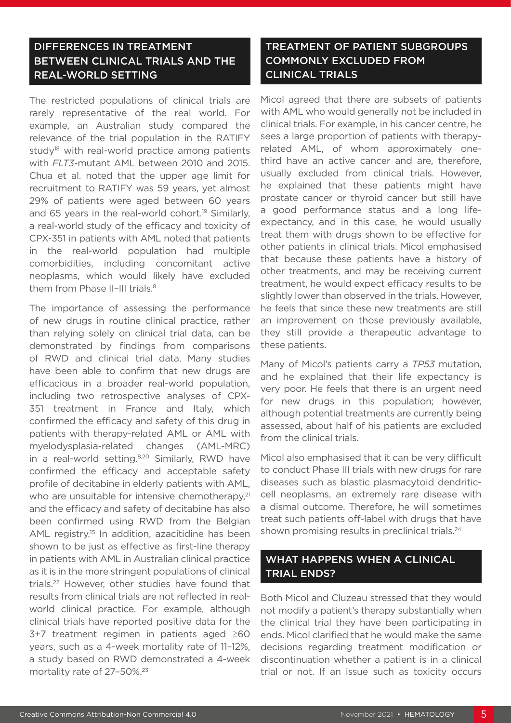# DIFFERENCES IN TREATMENT BETWEEN CLINICAL TRIALS AND THE REAL-WORLD SETTING

The restricted populations of clinical trials are rarely representative of the real world. For example, an Australian study compared the relevance of the trial population in the RATIFY study<sup>18</sup> with real-world practice among patients with *FLT3*-mutant AML between 2010 and 2015. Chua et al. noted that the upper age limit for recruitment to RATIFY was 59 years, yet almost 29% of patients were aged between 60 years and 65 years in the real-world cohort.<sup>19</sup> Similarly, a real-world study of the efficacy and toxicity of CPX-351 in patients with AML noted that patients in the real-world population had multiple comorbidities, including concomitant active neoplasms, which would likely have excluded them from Phase II-III trials.<sup>8</sup>

The importance of assessing the performance of new drugs in routine clinical practice, rather than relying solely on clinical trial data, can be demonstrated by findings from comparisons of RWD and clinical trial data. Many studies have been able to confirm that new drugs are efficacious in a broader real-world population, including two retrospective analyses of CPX-351 treatment in France and Italy, which confirmed the efficacy and safety of this drug in patients with therapy-related AML or AML with myelodysplasia-related changes (AML-MRC) in a real-world setting.<sup>8,20</sup> Similarly, RWD have confirmed the efficacy and acceptable safety profile of decitabine in elderly patients with AML, who are unsuitable for intensive chemotherapy.<sup>21</sup> and the efficacy and safety of decitabine has also been confirmed using RWD from the Belgian AML registry.<sup>15</sup> In addition, azacitidine has been shown to be just as effective as first-line therapy in patients with AML in Australian clinical practice as it is in the more stringent populations of clinical trials.22 However, other studies have found that results from clinical trials are not reflected in realworld clinical practice. For example, although clinical trials have reported positive data for the 3+7 treatment regimen in patients aged ≥60 years, such as a 4-week mortality rate of 11–12%, a study based on RWD demonstrated a 4-week mortality rate of 27-50%.<sup>23</sup>

# TREATMENT OF PATIENT SUBGROUPS COMMONLY EXCLUDED FROM CLINICAL TRIALS

Micol agreed that there are subsets of patients with AML who would generally not be included in clinical trials. For example, in his cancer centre, he sees a large proportion of patients with therapyrelated AML, of whom approximately onethird have an active cancer and are, therefore, usually excluded from clinical trials. However, he explained that these patients might have prostate cancer or thyroid cancer but still have a good performance status and a long lifeexpectancy, and in this case, he would usually treat them with drugs shown to be effective for other patients in clinical trials. Micol emphasised that because these patients have a history of other treatments, and may be receiving current treatment, he would expect efficacy results to be slightly lower than observed in the trials. However, he feels that since these new treatments are still an improvement on those previously available, they still provide a therapeutic advantage to these patients.

Many of Micol's patients carry a *TP53* mutation, and he explained that their life expectancy is very poor. He feels that there is an urgent need for new drugs in this population; however, although potential treatments are currently being assessed, about half of his patients are excluded from the clinical trials.

Micol also emphasised that it can be very difficult to conduct Phase III trials with new drugs for rare diseases such as blastic plasmacytoid dendriticcell neoplasms, an extremely rare disease with a dismal outcome. Therefore, he will sometimes treat such patients off-label with drugs that have shown promising results in preclinical trials.<sup>24</sup>

#### WHAT HAPPENS WHEN A CLINICAL TRIAL ENDS?

Both Micol and Cluzeau stressed that they would not modify a patient's therapy substantially when the clinical trial they have been participating in ends. Micol clarified that he would make the same decisions regarding treatment modification or discontinuation whether a patient is in a clinical trial or not. If an issue such as toxicity occurs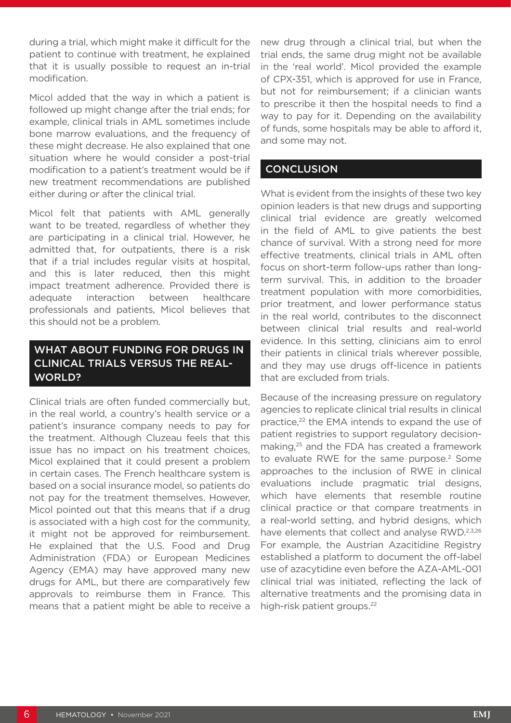during a trial, which might make it difficult for the patient to continue with treatment, he explained that it is usually possible to request an in-trial modification.

Micol added that the way in which a patient is followed up might change after the trial ends; for example, clinical trials in AML sometimes include bone marrow evaluations, and the frequency of these might decrease. He also explained that one situation where he would consider a post-trial modification to a patient's treatment would be if new treatment recommendations are published either during or after the clinical trial.

Micol felt that patients with AML generally want to be treated, regardless of whether they are participating in a clinical trial. However, he admitted that, for outpatients, there is a risk that if a trial includes regular visits at hospital, and this is later reduced, then this might impact treatment adherence. Provided there is adequate interaction between healthcare professionals and patients, Micol believes that this should not be a problem.

#### WHAT ABOUT FUNDING FOR DRUGS IN CLINICAL TRIALS VERSUS THE REAL-WORLD?

Clinical trials are often funded commercially but, in the real world, a country's health service or a patient's insurance company needs to pay for the treatment. Although Cluzeau feels that this issue has no impact on his treatment choices, Micol explained that it could present a problem in certain cases. The French healthcare system is based on a social insurance model, so patients do not pay for the treatment themselves. However, Micol pointed out that this means that if a drug is associated with a high cost for the community, it might not be approved for reimbursement. He explained that the U.S. Food and Drug Administration (FDA) or European Medicines Agency (EMA) may have approved many new drugs for AML, but there are comparatively few approvals to reimburse them in France. This means that a patient might be able to receive a new drug through a clinical trial, but when the trial ends, the same drug might not be available in the 'real world'. Micol provided the example of CPX-351, which is approved for use in France, but not for reimbursement; if a clinician wants to prescribe it then the hospital needs to find a way to pay for it. Depending on the availability of funds, some hospitals may be able to afford it, and some may not.

#### **CONCLUSION**

What is evident from the insights of these two key opinion leaders is that new drugs and supporting clinical trial evidence are greatly welcomed in the field of AML to give patients the best chance of survival. With a strong need for more effective treatments, clinical trials in AML often focus on short-term follow-ups rather than longterm survival. This, in addition to the broader treatment population with more comorbidities, prior treatment, and lower performance status in the real world, contributes to the disconnect between clinical trial results and real-world evidence. In this setting, clinicians aim to enrol their patients in clinical trials wherever possible, and they may use drugs off-licence in patients that are excluded from trials.

Because of the increasing pressure on regulatory agencies to replicate clinical trial results in clinical practice,<sup>22</sup> the EMA intends to expand the use of patient registries to support regulatory decisionmaking,25 and the FDA has created a framework to evaluate RWE for the same purpose.<sup>2</sup> Some approaches to the inclusion of RWE in clinical evaluations include pragmatic trial designs, which have elements that resemble routine clinical practice or that compare treatments in a real-world setting, and hybrid designs, which have elements that collect and analyse RWD.2,3,26 For example, the Austrian Azacitidine Registry established a platform to document the off-label use of azacytidine even before the AZA-AML-001 clinical trial was initiated, reflecting the lack of alternative treatments and the promising data in high-risk patient groups.<sup>22</sup>